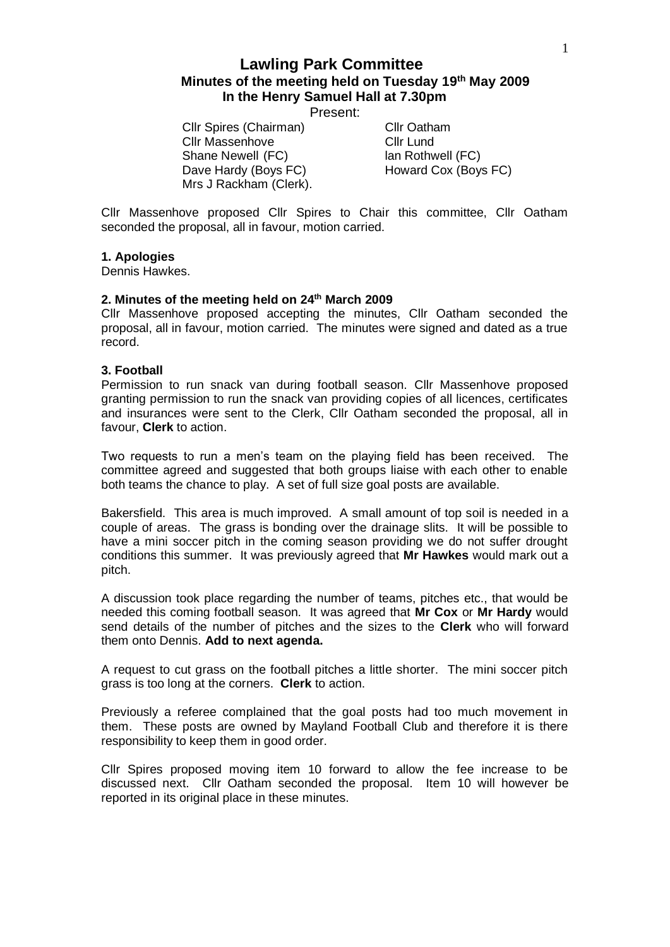# **Lawling Park Committee Minutes of the meeting held on Tuesday 19th May 2009 In the Henry Samuel Hall at 7.30pm**

Present:

Cllr Spires (Chairman) Cllr Oatham Cllr Massenhove Cllr Lund Shane Newell (FC) lan Rothwell (FC) Dave Hardy (Boys FC) Howard Cox (Boys FC) Mrs J Rackham (Clerk).

Cllr Massenhove proposed Cllr Spires to Chair this committee, Cllr Oatham seconded the proposal, all in favour, motion carried.

#### **1. Apologies**

Dennis Hawkes.

#### **2. Minutes of the meeting held on 24th March 2009**

Cllr Massenhove proposed accepting the minutes, Cllr Oatham seconded the proposal, all in favour, motion carried. The minutes were signed and dated as a true record.

#### **3. Football**

Permission to run snack van during football season. Cllr Massenhove proposed granting permission to run the snack van providing copies of all licences, certificates and insurances were sent to the Clerk, Cllr Oatham seconded the proposal, all in favour, **Clerk** to action.

Two requests to run a men's team on the playing field has been received. The committee agreed and suggested that both groups liaise with each other to enable both teams the chance to play. A set of full size goal posts are available.

Bakersfield. This area is much improved. A small amount of top soil is needed in a couple of areas. The grass is bonding over the drainage slits. It will be possible to have a mini soccer pitch in the coming season providing we do not suffer drought conditions this summer. It was previously agreed that **Mr Hawkes** would mark out a pitch.

A discussion took place regarding the number of teams, pitches etc., that would be needed this coming football season. It was agreed that **Mr Cox** or **Mr Hardy** would send details of the number of pitches and the sizes to the **Clerk** who will forward them onto Dennis. **Add to next agenda.**

A request to cut grass on the football pitches a little shorter. The mini soccer pitch grass is too long at the corners. **Clerk** to action.

Previously a referee complained that the goal posts had too much movement in them. These posts are owned by Mayland Football Club and therefore it is there responsibility to keep them in good order.

Cllr Spires proposed moving item 10 forward to allow the fee increase to be discussed next. Cllr Oatham seconded the proposal. Item 10 will however be reported in its original place in these minutes.